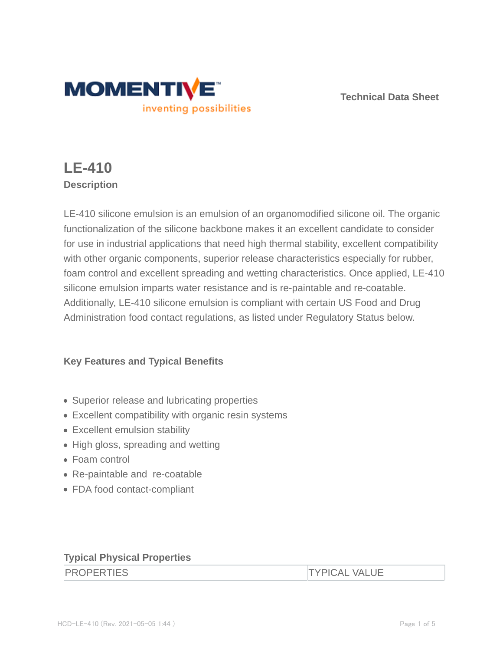

**Technical Data Sheet**

# **LE-410 Description**

LE-410 silicone emulsion is an emulsion of an organomodified silicone oil. The organic functionalization of the silicone backbone makes it an excellent candidate to consider for use in industrial applications that need high thermal stability, excellent compatibility with other organic components, superior release characteristics especially for rubber, foam control and excellent spreading and wetting characteristics. Once applied, LE-410 silicone emulsion imparts water resistance and is re-paintable and re-coatable. Additionally, LE-410 silicone emulsion is compliant with certain US Food and Drug Administration food contact regulations, as listed under Regulatory Status below.

# **Key Features and Typical Benefits**

- Superior release and lubricating properties
- Excellent compatibility with organic resin systems
- Excellent emulsion stability
- High gloss, spreading and wetting
- Foam control
- Re-paintable and re-coatable
- FDA food contact-compliant

## **Typical Physical Properties**

**TYPICAL VALUE**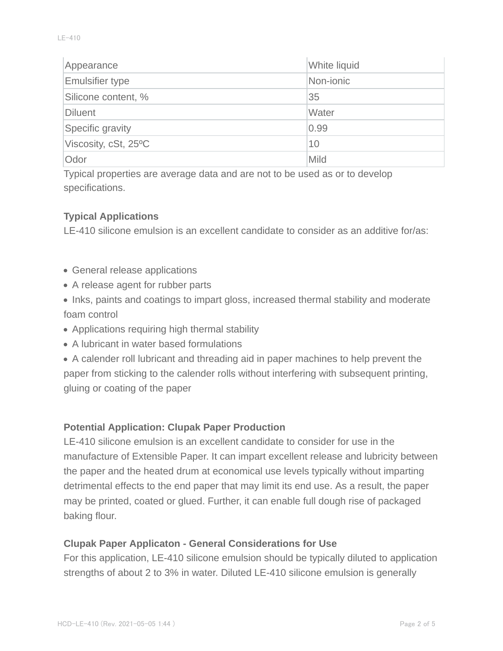| Appearance             | White liquid |
|------------------------|--------------|
| <b>Emulsifier type</b> | Non-jonic    |
| Silicone content, %    | 35           |
| Diluent                | Water        |
| Specific gravity       | 0.99         |
| Viscosity, cSt, 25°C   | 10           |
| Odor                   | Mild         |

Typical properties are average data and are not to be used as or to develop specifications.

### **Typical Applications**

LE-410 silicone emulsion is an excellent candidate to consider as an additive for/as:

- General release applications
- A release agent for rubber parts
- Inks, paints and coatings to impart gloss, increased thermal stability and moderate foam control
- Applications requiring high thermal stability
- A lubricant in water based formulations

A calender roll lubricant and threading aid in paper machines to help prevent the paper from sticking to the calender rolls without interfering with subsequent printing, gluing or coating of the paper

#### **Potential Application: Clupak Paper Production**

LE-410 silicone emulsion is an excellent candidate to consider for use in the manufacture of Extensible Paper. It can impart excellent release and lubricity between the paper and the heated drum at economical use levels typically without imparting detrimental effects to the end paper that may limit its end use. As a result, the paper may be printed, coated or glued. Further, it can enable full dough rise of packaged baking flour.

### **Clupak Paper Applicaton - General Considerations for Use**

For this application, LE-410 silicone emulsion should be typically diluted to application strengths of about 2 to 3% in water. Diluted LE-410 silicone emulsion is generally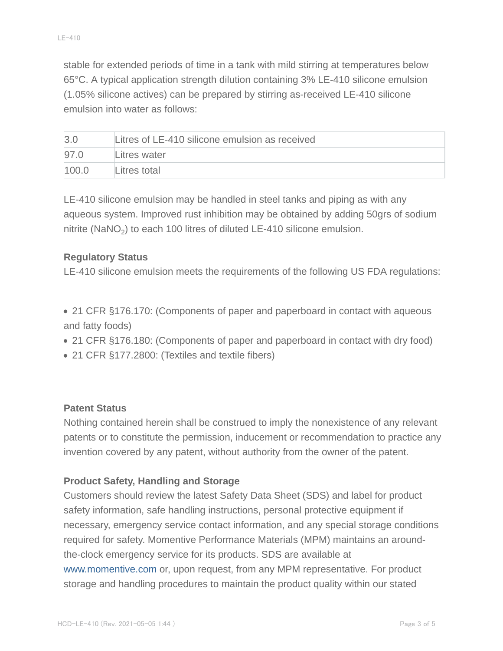stable for extended periods of time in a tank with mild stirring at temperatures below 65°C. A typical application strength dilution containing 3% LE-410 silicone emulsion (1.05% silicone actives) can be prepared by stirring as-received LE-410 silicone emulsion into water as follows:

| $\beta$ . | Litres of LE-410 silicone emulsion as received |
|-----------|------------------------------------------------|
| 97.0      | Litres water                                   |
| 100.0     | Litres total                                   |

LE-410 silicone emulsion may be handled in steel tanks and piping as with any aqueous system. Improved rust inhibition may be obtained by adding 50grs of sodium nitrite (NaNO<sub>2</sub>) to each 100 litres of diluted LE-410 silicone emulsion.

### **Regulatory Status**

LE-410 silicone emulsion meets the requirements of the following US FDA regulations:

- 21 CFR §176.170: (Components of paper and paperboard in contact with aqueous and fatty foods)
- 21 CFR §176.180: (Components of paper and paperboard in contact with dry food)
- 21 CFR §177.2800: (Textiles and textile fibers)

#### **Patent Status**

Nothing contained herein shall be construed to imply the nonexistence of any relevant patents or to constitute the permission, inducement or recommendation to practice any invention covered by any patent, without authority from the owner of the patent.

## **Product Safety, Handling and Storage**

Customers should review the latest Safety Data Sheet (SDS) and label for product safety information, safe handling instructions, personal protective equipment if necessary, emergency service contact information, and any special storage conditions required for safety. Momentive Performance Materials (MPM) maintains an aroundthe-clock emergency service for its products. SDS are available at www.momentive.com or, upon request, from any MPM representative. For product storage and handling procedures to maintain the product quality within our stated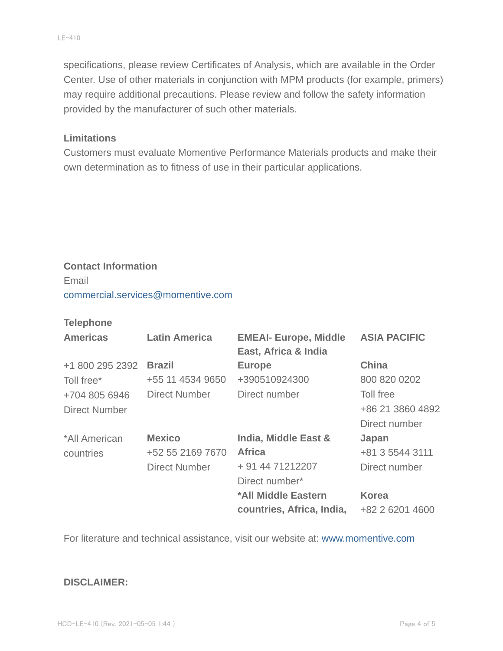specifications, please review Certificates of Analysis, which are available in the Order Center. Use of other materials in conjunction with MPM products (for example, primers) may require additional precautions. Please review and follow the safety information provided by the manufacturer of such other materials.

#### **Limitations**

Customers must evaluate Momentive Performance Materials products and make their own determination as to fitness of use in their particular applications.

# **Contact Information** Email commercial.services@momentive.com

#### **Telephone**

| <b>Americas</b>      | <b>Latin America</b> | <b>EMEAI- Europe, Middle</b><br>East, Africa & India | <b>ASIA PACIFIC</b> |
|----------------------|----------------------|------------------------------------------------------|---------------------|
| +1 800 295 2392      | <b>Brazil</b>        | <b>Europe</b>                                        | <b>China</b>        |
| Toll free*           | +55 11 4534 9650     | +390510924300                                        | 800 820 0202        |
| +704 805 6946        | Direct Number        | Direct number                                        | Toll free           |
| <b>Direct Number</b> |                      |                                                      | +86 21 3860 4892    |
|                      |                      |                                                      | Direct number       |
| *All American        | <b>Mexico</b>        | India, Middle East &                                 | Japan               |
| countries            | +52 55 2169 7670     | <b>Africa</b>                                        | +81 3 5544 3111     |
|                      | <b>Direct Number</b> | + 91 44 71212207                                     | Direct number       |
|                      |                      | Direct number*                                       |                     |
|                      |                      | *All Middle Eastern                                  | <b>Korea</b>        |
|                      |                      | countries, Africa, India,                            | +82 2 6201 4600     |

For literature and technical assistance, visit our website at: www.momentive.com

#### **DISCLAIMER:**